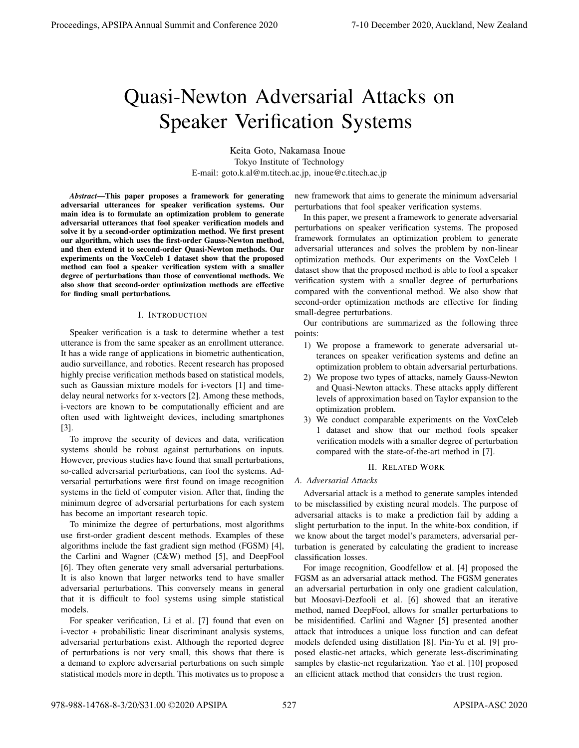# Quasi-Newton Adversarial Attacks on Speaker Verification Systems

Keita Goto, Nakamasa Inoue Tokyo Institute of Technology E-mail: goto.k.al@m.titech.ac.jp, inoue@c.titech.ac.jp

*Abstract*—This paper proposes a framework for generating adversarial utterances for speaker verification systems. Our main idea is to formulate an optimization problem to generate adversarial utterances that fool speaker verification models and solve it by a second-order optimization method. We first present our algorithm, which uses the first-order Gauss-Newton method, and then extend it to second-order Quasi-Newton methods. Our experiments on the VoxCeleb 1 dataset show that the proposed method can fool a speaker verification system with a smaller degree of perturbations than those of conventional methods. We also show that second-order optimization methods are effective for finding small perturbations.

## I. INTRODUCTION

Speaker verification is a task to determine whether a test utterance is from the same speaker as an enrollment utterance. It has a wide range of applications in biometric authentication, audio surveillance, and robotics. Recent research has proposed highly precise verification methods based on statistical models, such as Gaussian mixture models for i-vectors [1] and timedelay neural networks for x-vectors [2]. Among these methods, i-vectors are known to be computationally efficient and are often used with lightweight devices, including smartphones [3].

To improve the security of devices and data, verification systems should be robust against perturbations on inputs. However, previous studies have found that small perturbations, so-called adversarial perturbations, can fool the systems. Adversarial perturbations were first found on image recognition systems in the field of computer vision. After that, finding the minimum degree of adversarial perturbations for each system has become an important research topic.

To minimize the degree of perturbations, most algorithms use first-order gradient descent methods. Examples of these algorithms include the fast gradient sign method (FGSM) [4], the Carlini and Wagner (C&W) method [5], and DeepFool [6]. They often generate very small adversarial perturbations. It is also known that larger networks tend to have smaller adversarial perturbations. This conversely means in general that it is difficult to fool systems using simple statistical models.

For speaker verification, Li et al. [7] found that even on i-vector + probabilistic linear discriminant analysis systems, adversarial perturbations exist. Although the reported degree of perturbations is not very small, this shows that there is a demand to explore adversarial perturbations on such simple statistical models more in depth. This motivates us to propose a new framework that aims to generate the minimum adversarial perturbations that fool speaker verification systems.

In this paper, we present a framework to generate adversarial perturbations on speaker verification systems. The proposed framework formulates an optimization problem to generate adversarial utterances and solves the problem by non-linear optimization methods. Our experiments on the VoxCeleb 1 dataset show that the proposed method is able to fool a speaker verification system with a smaller degree of perturbations compared with the conventional method. We also show that second-order optimization methods are effective for finding small-degree perturbations.

Our contributions are summarized as the following three points:

- 1) We propose a framework to generate adversarial utterances on speaker verification systems and define an optimization problem to obtain adversarial perturbations.
- 2) We propose two types of attacks, namely Gauss-Newton and Quasi-Newton attacks. These attacks apply different levels of approximation based on Taylor expansion to the optimization problem.
- 3) We conduct comparable experiments on the VoxCeleb 1 dataset and show that our method fools speaker verification models with a smaller degree of perturbation compared with the state-of-the-art method in [7].

## II. RELATED WORK

# *A. Adversarial Attacks*

Adversarial attack is a method to generate samples intended to be misclassified by existing neural models. The purpose of adversarial attacks is to make a prediction fail by adding a slight perturbation to the input. In the white-box condition, if we know about the target model's parameters, adversarial perturbation is generated by calculating the gradient to increase classification losses.

For image recognition, Goodfellow et al. [4] proposed the FGSM as an adversarial attack method. The FGSM generates an adversarial perturbation in only one gradient calculation, but Moosavi-Dezfooli et al. [6] showed that an iterative method, named DeepFool, allows for smaller perturbations to be misidentified. Carlini and Wagner [5] presented another attack that introduces a unique loss function and can defeat models defended using distillation [8]. Pin-Yu et al. [9] proposed elastic-net attacks, which generate less-discriminating samples by elastic-net regularization. Yao et al. [10] proposed an efficient attack method that considers the trust region.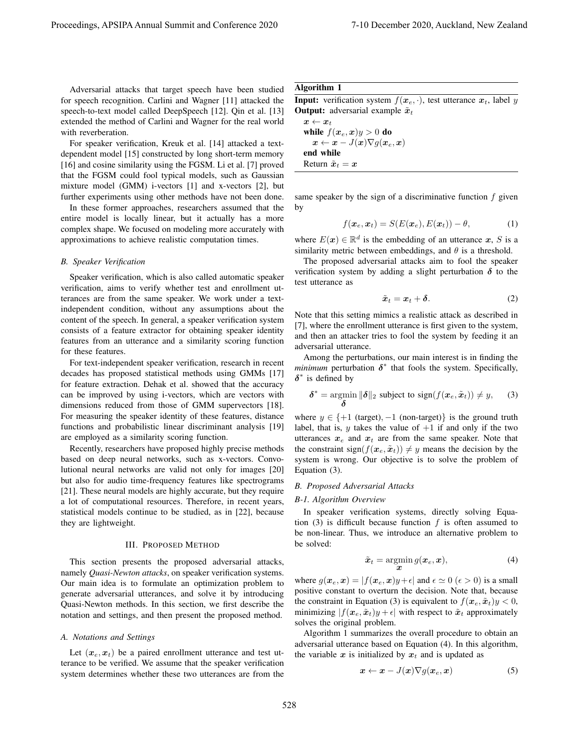Adversarial attacks that target speech have been studied for speech recognition. Carlini and Wagner [11] attacked the speech-to-text model called DeepSpeech [12]. Qin et al. [13] extended the method of Carlini and Wagner for the real world with reverberation.

For speaker verification, Kreuk et al. [14] attacked a textdependent model [15] constructed by long short-term memory [16] and cosine similarity using the FGSM. Li et al. [7] proved that the FGSM could fool typical models, such as Gaussian mixture model (GMM) i-vectors [1] and x-vectors [2], but further experiments using other methods have not been done.

In these former approaches, researchers assumed that the entire model is locally linear, but it actually has a more complex shape. We focused on modeling more accurately with approximations to achieve realistic computation times.

#### *B. Speaker Verification*

Speaker verification, which is also called automatic speaker verification, aims to verify whether test and enrollment utterances are from the same speaker. We work under a textindependent condition, without any assumptions about the content of the speech. In general, a speaker verification system consists of a feature extractor for obtaining speaker identity features from an utterance and a similarity scoring function for these features.

For text-independent speaker verification, research in recent decades has proposed statistical methods using GMMs [17] for feature extraction. Dehak et al. showed that the accuracy can be improved by using i-vectors, which are vectors with dimensions reduced from those of GMM supervectors [18]. For measuring the speaker identity of these features, distance functions and probabilistic linear discriminant analysis [19] are employed as a similarity scoring function.

Recently, researchers have proposed highly precise methods based on deep neural networks, such as x-vectors. Convolutional neural networks are valid not only for images [20] but also for audio time-frequency features like spectrograms [21]. These neural models are highly accurate, but they require a lot of computational resources. Therefore, in recent years, statistical models continue to be studied, as in [22], because they are lightweight.

#### III. PROPOSED METHOD

This section presents the proposed adversarial attacks, namely *Quasi-Newton attacks*, on speaker verification systems. Our main idea is to formulate an optimization problem to generate adversarial utterances, and solve it by introducing Quasi-Newton methods. In this section, we first describe the notation and settings, and then present the proposed method.

#### *A. Notations and Settings*

Let  $(x_e, x_t)$  be a paired enrollment utterance and test utterance to be verified. We assume that the speaker verification system determines whether these two utterances are from the

## Algorithm 1

**Input:** verification system  $f(x_e, \cdot)$ , test utterance  $x_t$ , label y **Output:** adversarial example  $\tilde{x}_t$ 

 $\boldsymbol{x} \leftarrow \boldsymbol{x}_t$ while  $f(x_e, x)y > 0$  do  $x \leftarrow x - J(x) \nabla q(x_e, x)$ end while Return  $\tilde{x}_t = x$ 

same speaker by the sign of a discriminative function  $f$  given by

$$
f(\boldsymbol{x}_e, \boldsymbol{x}_t) = S(E(\boldsymbol{x}_e), E(\boldsymbol{x}_t)) - \theta, \tag{1}
$$

where  $E(x) \in \mathbb{R}^d$  is the embedding of an utterance x, S is a similarity metric between embeddings, and  $\theta$  is a threshold.

The proposed adversarial attacks aim to fool the speaker verification system by adding a slight perturbation  $\delta$  to the test utterance as

$$
\tilde{\boldsymbol{x}}_t = \boldsymbol{x}_t + \boldsymbol{\delta}.\tag{2}
$$

Note that this setting mimics a realistic attack as described in [7], where the enrollment utterance is first given to the system, and then an attacker tries to fool the system by feeding it an adversarial utterance.

Among the perturbations, our main interest is in finding the *minimum* perturbation  $\delta^*$  that fools the system. Specifically,  $\delta^*$  is defined by

$$
\boldsymbol{\delta}^* = \operatorname*{argmin}_{\boldsymbol{\delta}} \|\boldsymbol{\delta}\|_2 \text{ subject to } \operatorname{sign}(f(\boldsymbol{x}_e, \tilde{\boldsymbol{x}}_t)) \neq y,\qquad(3)
$$

where  $y \in \{+1 \text{ (target)}, -1 \text{ (non-target)}\}$  is the ground truth label, that is,  $y$  takes the value of  $+1$  if and only if the two utterances  $x_e$  and  $x_t$  are from the same speaker. Note that the constraint sign $(f(x_e, \tilde{x}_t)) \neq y$  means the decision by the system is wrong. Our objective is to solve the problem of Equation (3).

## *B. Proposed Adversarial Attacks*

#### *B-1. Algorithm Overview*

In speaker verification systems, directly solving Equation (3) is difficult because function  $f$  is often assumed to be non-linear. Thus, we introduce an alternative problem to be solved:

$$
\tilde{\boldsymbol{x}}_t = \operatorname*{argmin}_{\boldsymbol{x}} g(\boldsymbol{x}_e, \boldsymbol{x}),\tag{4}
$$

where  $g(x_e, x) = |f(x_e, x)y + \epsilon|$  and  $\epsilon \simeq 0$  ( $\epsilon > 0$ ) is a small positive constant to overturn the decision. Note that, because the constraint in Equation (3) is equivalent to  $f(\mathbf{x}_e, \tilde{\mathbf{x}}_t)y < 0$ , minimizing  $|f(x_e, \tilde{x}_t)y + \epsilon|$  with respect to  $\tilde{x}_t$  approximately solves the original problem.

Algorithm 1 summarizes the overall procedure to obtain an adversarial utterance based on Equation (4). In this algorithm, the variable  $x$  is initialized by  $x_t$  and is updated as

$$
\boldsymbol{x} \leftarrow \boldsymbol{x} - J(\boldsymbol{x}) \nabla g(\boldsymbol{x}_e, \boldsymbol{x}) \tag{5}
$$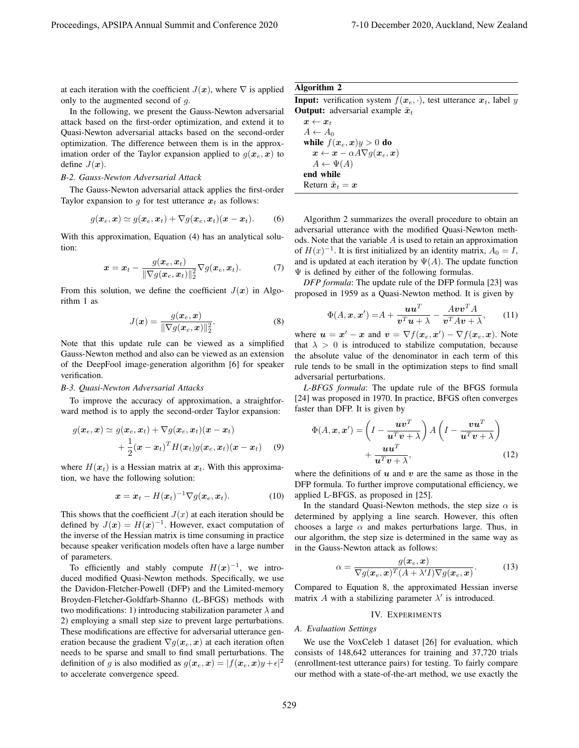at each iteration with the coefficient  $J(x)$ , where  $\nabla$  is applied only to the augmented second of g.

In the following, we present the Gauss-Newton adversarial attack based on the first-order optimization, and extend it to Quasi-Newton adversarial attacks based on the second-order optimization. The difference between them is in the approximation order of the Taylor expansion applied to  $g(x_e, x)$  to define  $J(x)$ .

## *B-2. Gauss-Newton Adversarial Attack*

The Gauss-Newton adversarial attack applies the first-order Taylor expansion to g for test utterance  $x_t$  as follows:

$$
g(\boldsymbol{x}_e, \boldsymbol{x}) \simeq g(\boldsymbol{x}_e, \boldsymbol{x}_t) + \nabla g(\boldsymbol{x}_e, \boldsymbol{x}_t)(\boldsymbol{x} - \boldsymbol{x}_t). \qquad (6)
$$

With this approximation, Equation (4) has an analytical solution:

$$
\boldsymbol{x} = \boldsymbol{x}_t - \frac{g(\boldsymbol{x}_e, \boldsymbol{x}_t)}{\|\nabla g(\boldsymbol{x}_e, \boldsymbol{x}_t)\|_2^2} \nabla g(\boldsymbol{x}_e, \boldsymbol{x}_t). \tag{7}
$$

From this solution, we define the coefficient  $J(x)$  in Algorithm 1 as

$$
J(\boldsymbol{x}) = \frac{g(\boldsymbol{x}_e, \boldsymbol{x})}{\|\nabla g(\boldsymbol{x}_e, \boldsymbol{x})\|_2^2}.
$$
 (8)

Note that this update rule can be viewed as a simplified Gauss-Newton method and also can be viewed as an extension of the DeepFool image-generation algorithm [6] for speaker verification.

## *B-3. Quasi-Newton Adversarial Attacks*

To improve the accuracy of approximation, a straightforward method is to apply the second-order Taylor expansion:

$$
g(\boldsymbol{x}_e, \boldsymbol{x}) \simeq g(\boldsymbol{x}_e, \boldsymbol{x}_t) + \nabla g(\boldsymbol{x}_e, \boldsymbol{x}_t)(\boldsymbol{x} - \boldsymbol{x}_t) + \frac{1}{2}(\boldsymbol{x} - \boldsymbol{x}_t)^T H(\boldsymbol{x}_t) g(\boldsymbol{x}_e, \boldsymbol{x}_t)(\boldsymbol{x} - \boldsymbol{x}_t)
$$
(9)

where  $H(x_t)$  is a Hessian matrix at  $x_t$ . With this approximation, we have the following solution:

$$
\boldsymbol{x} = \boldsymbol{x}_t - H(\boldsymbol{x}_t)^{-1} \nabla g(\boldsymbol{x}_e, \boldsymbol{x}_t). \tag{10}
$$

This shows that the coefficient  $J(x)$  at each iteration should be defined by  $J(x) = H(x)^{-1}$ . However, exact computation of the inverse of the Hessian matrix is time consuming in practice because speaker verification models often have a large number of parameters.

To efficiently and stably compute  $H(x)^{-1}$ , we introduced modified Quasi-Newton methods. Specifically, we use the Davidon-Fletcher-Powell (DFP) and the Limited-memory Broyden-Fletcher-Goldfarb-Shanno (L-BFGS) methods with two modifications: 1) introducing stabilization parameter  $\lambda$  and 2) employing a small step size to prevent large perturbations. These modifications are effective for adversarial utterance generation because the gradient  $\nabla g(\mathbf{x}_e, \mathbf{x})$  at each iteration often needs to be sparse and small to find small perturbations. The definition of g is also modified as  $g(x_e, x) = |f(x_e, x)y + \epsilon|^2$ to accelerate convergence speed.

# Algorithm 2

**Input:** verification system  $f(x_e, \cdot)$ , test utterance  $x_t$ , label y **Output:** adversarial example  $\tilde{x}_t$ 

Algorithm 2 summarizes the overall procedure to obtain an adversarial utterance with the modified Quasi-Newton methods. Note that the variable  $A$  is used to retain an approximation of  $H(x)^{-1}$ . It is first initialized by an identity matrix,  $A_0 = I$ , and is updated at each iteration by  $\Psi(A)$ . The update function  $\Psi$  is defined by either of the following formulas.

*DFP formula*: The update rule of the DFP formula [23] was proposed in 1959 as a Quasi-Newton method. It is given by

$$
\Phi(A, \mathbf{x}, \mathbf{x}') = A + \frac{\mathbf{u}\mathbf{u}^T}{\mathbf{v}^T \mathbf{u} + \lambda} - \frac{A \mathbf{v}\mathbf{v}^T A}{\mathbf{v}^T A \mathbf{v} + \lambda},\qquad(11)
$$

where  $u = x' - x$  and  $v = \nabla f(x_e, x') - \nabla f(x_e, x)$ . Note that  $\lambda > 0$  is introduced to stabilize computation, because the absolute value of the denominator in each term of this rule tends to be small in the optimization steps to find small adversarial perturbations.

*L-BFGS formula*: The update rule of the BFGS formula [24] was proposed in 1970. In practice, BFGS often converges faster than DFP. It is given by

$$
\Phi(A, \mathbf{x}, \mathbf{x}') = \left(I - \frac{\mathbf{u}\mathbf{v}^T}{\mathbf{u}^T \mathbf{v} + \lambda}\right) A \left(I - \frac{\mathbf{v}\mathbf{u}^T}{\mathbf{u}^T \mathbf{v} + \lambda}\right) + \frac{\mathbf{u}\mathbf{u}^T}{\mathbf{u}^T \mathbf{v} + \lambda},
$$
\n(12)

where the definitions of  $u$  and  $v$  are the same as those in the DFP formula. To further improve computational efficiency, we applied L-BFGS, as proposed in [25].

In the standard Quasi-Newton methods, the step size  $\alpha$  is determined by applying a line search. However, this often chooses a large  $\alpha$  and makes perturbations large. Thus, in our algorithm, the step size is determined in the same way as in the Gauss-Newton attack as follows:

$$
\alpha = \frac{g(\boldsymbol{x}_e, \boldsymbol{x})}{\nabla g(\boldsymbol{x}_e, \boldsymbol{x})^T (A + \lambda I) \nabla g(\boldsymbol{x}_e, \boldsymbol{x})}.
$$
(13)

Compared to Equation 8, the approximated Hessian inverse matrix A with a stabilizing parameter  $\lambda'$  is introduced.

#### IV. EXPERIMENTS

## *A. Evaluation Settings*

We use the VoxCeleb 1 dataset [26] for evaluation, which consists of 148,642 utterances for training and 37,720 trials (enrollment-test utterance pairs) for testing. To fairly compare our method with a state-of-the-art method, we use exactly the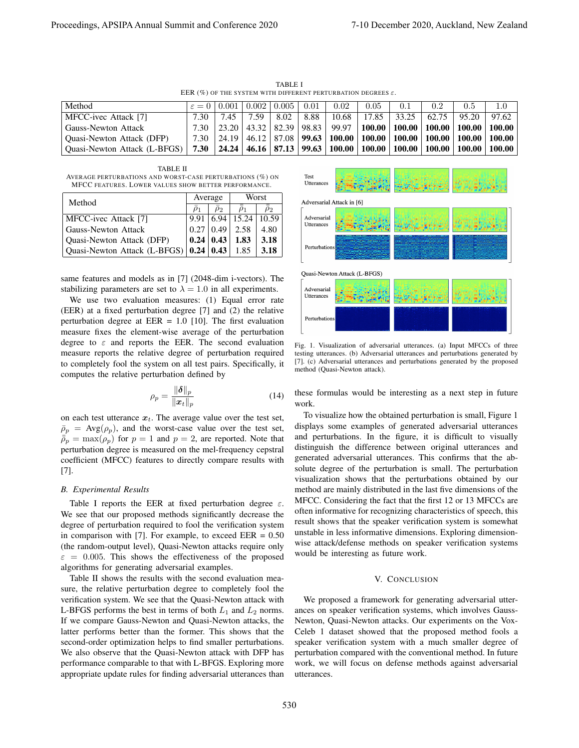TABLE I EER (%) OF THE SYSTEM WITH DIFFERENT PERTURBATION DEGREES  $\varepsilon$ .

| Method                           |      | $\varepsilon = 0.001$                | 0.002 | 0.005 | 0.01 | 0.02  | 0.05  | 0.1                                                                               | 0.2   | 0.5   |                                                                                                   |
|----------------------------------|------|--------------------------------------|-------|-------|------|-------|-------|-----------------------------------------------------------------------------------|-------|-------|---------------------------------------------------------------------------------------------------|
| MFCC-ivec Attack [7]             | 7.30 | 7.45                                 | 7.59  | 8.02  | 8.88 | 10.68 | 17.85 | 33.25                                                                             | 62.75 | 95.20 | 97.62                                                                                             |
| Gauss-Newton Attack              |      | 7.30   23.20   43.32   82.39   98.83 |       |       |      |       |       |                                                                                   |       |       | $\mid$ 99.97 $\mid$ 100.00 $\mid$ 100.00 $\mid$ 100.00 $\mid$ 100.00 $\mid$ 100.00 $\mid$         |
| <b>Ouasi-Newton Attack (DFP)</b> |      |                                      |       |       |      |       |       |                                                                                   |       |       | 7.30   24.19   46.12   87.08   <b>99.63   100.00   100.00   100.00   100.00   100.00   100.00</b> |
| Quasi-Newton Attack (L-BFGS)     |      |                                      |       |       |      |       |       | 7.30   24.24   46.16   87.13   99.63   100.00   100.00   100.00   100.00   100.00 |       |       | 100.00                                                                                            |

TABLE II AVERAGE PERTURBATIONS AND WORST-CASE PERTURBATIONS (%) ON MFCC FEATURES. LOWER VALUES SHOW BETTER PERFORMANCE.

| Method                       |                  | Average          | Worst |          |  |
|------------------------------|------------------|------------------|-------|----------|--|
|                              | $\rho_1$         | $\rho_2$         |       | $\rho_2$ |  |
| MFCC-ivec Attack [7]         | 9.91             | 6.94             | 15.24 | 10.59    |  |
| Gauss-Newton Attack          | 0.27             | $ 0.49\rangle$   | 2.58  | 4.80     |  |
| Quasi-Newton Attack (DFP)    | $0.24 \mid 0.43$ |                  | 1.83  | 3.18     |  |
| Quasi-Newton Attack (L-BFGS) |                  | $0.24 \mid 0.43$ | 1.85  | 3.18     |  |

same features and models as in [7] (2048-dim i-vectors). The stabilizing parameters are set to  $\lambda = 1.0$  in all experiments.

We use two evaluation measures: (1) Equal error rate (EER) at a fixed perturbation degree [7] and (2) the relative perturbation degree at  $EER = 1.0$  [10]. The first evaluation measure fixes the element-wise average of the perturbation degree to  $\varepsilon$  and reports the EER. The second evaluation measure reports the relative degree of perturbation required to completely fool the system on all test pairs. Specifically, it computes the relative perturbation defined by

$$
\rho_p = \frac{\|\boldsymbol{\delta}\|_p}{\|\boldsymbol{x}_t\|_p} \tag{14}
$$

on each test utterance  $x_t$ . The average value over the test set,  $\bar{\rho}_p = \text{Avg}(\rho_p)$ , and the worst-case value over the test set,  $\bar{p}_p = \max(\rho_p)$  for  $p = 1$  and  $p = 2$ , are reported. Note that perturbation degree is measured on the mel-frequency cepstral coefficient (MFCC) features to directly compare results with [7].

#### *B. Experimental Results*

Table I reports the EER at fixed perturbation degree  $\varepsilon$ . We see that our proposed methods significantly decrease the degree of perturbation required to fool the verification system in comparison with [7]. For example, to exceed  $EER = 0.50$ (the random-output level), Quasi-Newton attacks require only  $\varepsilon = 0.005$ . This shows the effectiveness of the proposed algorithms for generating adversarial examples.

Table II shows the results with the second evaluation measure, the relative perturbation degree to completely fool the verification system. We see that the Quasi-Newton attack with L-BFGS performs the best in terms of both  $L_1$  and  $L_2$  norms. If we compare Gauss-Newton and Quasi-Newton attacks, the latter performs better than the former. This shows that the second-order optimization helps to find smaller perturbations. We also observe that the Quasi-Newton attack with DFP has performance comparable to that with L-BFGS. Exploring more appropriate update rules for finding adversarial utterances than



Fig. 1. Visualization of adversarial utterances. (a) Input MFCCs of three testing utterances. (b) Adversarial utterances and perturbations generated by [7]. (c) Adversarial utterances and perturbations generated by the proposed method (Quasi-Newton attack).

these formulas would be interesting as a next step in future work.

To visualize how the obtained perturbation is small, Figure 1 displays some examples of generated adversarial utterances and perturbations. In the figure, it is difficult to visually distinguish the difference between original utterances and generated adversarial utterances. This confirms that the absolute degree of the perturbation is small. The perturbation visualization shows that the perturbations obtained by our method are mainly distributed in the last five dimensions of the MFCC. Considering the fact that the first 12 or 13 MFCCs are often informative for recognizing characteristics of speech, this result shows that the speaker verification system is somewhat unstable in less informative dimensions. Exploring dimensionwise attack/defense methods on speaker verification systems would be interesting as future work.

#### V. CONCLUSION

We proposed a framework for generating adversarial utterances on speaker verification systems, which involves Gauss-Newton, Quasi-Newton attacks. Our experiments on the Vox-Celeb 1 dataset showed that the proposed method fools a speaker verification system with a much smaller degree of perturbation compared with the conventional method. In future work, we will focus on defense methods against adversarial utterances.